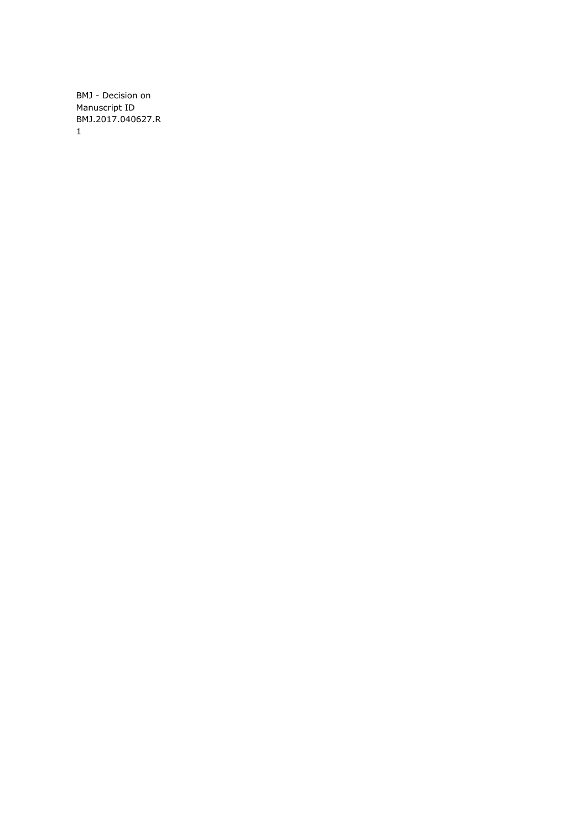BMJ - Decision on Manuscript ID BMJ.2017.040627.R 1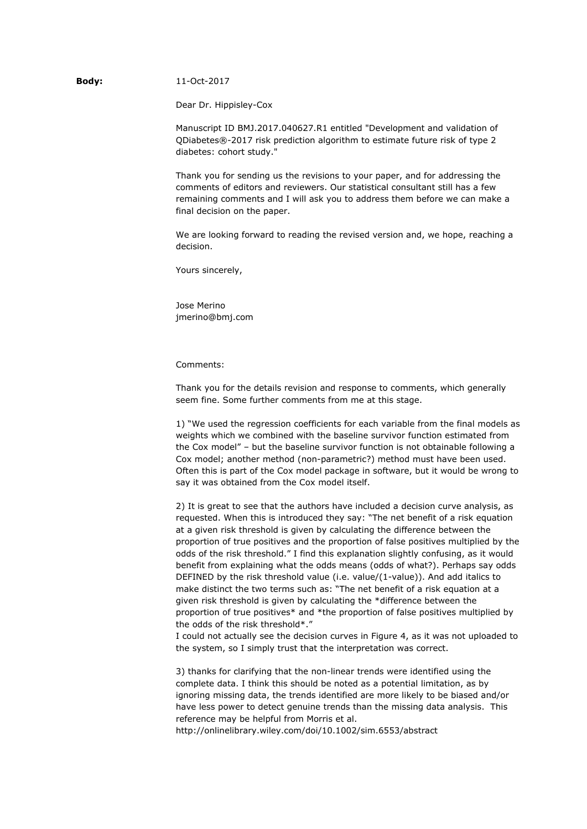## **Body:** 11-Oct-2017

Dear Dr. Hippisley-Cox

Manuscript ID BMJ.2017.040627.R1 entitled "Development and validation of QDiabetes®-2017 risk prediction algorithm to estimate future risk of type 2 diabetes: cohort study."

Thank you for sending us the revisions to your paper, and for addressing the comments of editors and reviewers. Our statistical consultant still has a few remaining comments and I will ask you to address them before we can make a final decision on the paper.

We are looking forward to reading the revised version and, we hope, reaching a decision.

Yours sincerely,

Jose Merino jmerino@bmj.com

Comments:

Thank you for the details revision and response to comments, which generally seem fine. Some further comments from me at this stage.

1) "We used the regression coefficients for each variable from the final models as weights which we combined with the baseline survivor function estimated from the Cox model" – but the baseline survivor function is not obtainable following a Cox model; another method (non-parametric?) method must have been used. Often this is part of the Cox model package in software, but it would be wrong to say it was obtained from the Cox model itself.

2) It is great to see that the authors have included a decision curve analysis, as requested. When this is introduced they say: "The net benefit of a risk equation at a given risk threshold is given by calculating the difference between the proportion of true positives and the proportion of false positives multiplied by the odds of the risk threshold." I find this explanation slightly confusing, as it would benefit from explaining what the odds means (odds of what?). Perhaps say odds DEFINED by the risk threshold value (i.e. value/(1-value)). And add italics to make distinct the two terms such as: "The net benefit of a risk equation at a given risk threshold is given by calculating the \*difference between the proportion of true positives\* and \*the proportion of false positives multiplied by the odds of the risk threshold\*."

I could not actually see the decision curves in Figure 4, as it was not uploaded to the system, so I simply trust that the interpretation was correct.

3) thanks for clarifying that the non-linear trends were identified using the complete data. I think this should be noted as a potential limitation, as by ignoring missing data, the trends identified are more likely to be biased and/or have less power to detect genuine trends than the missing data analysis. This reference may be helpful from Morris et al.

http://onlinelibrary.wiley.com/doi/10.1002/sim.6553/abstract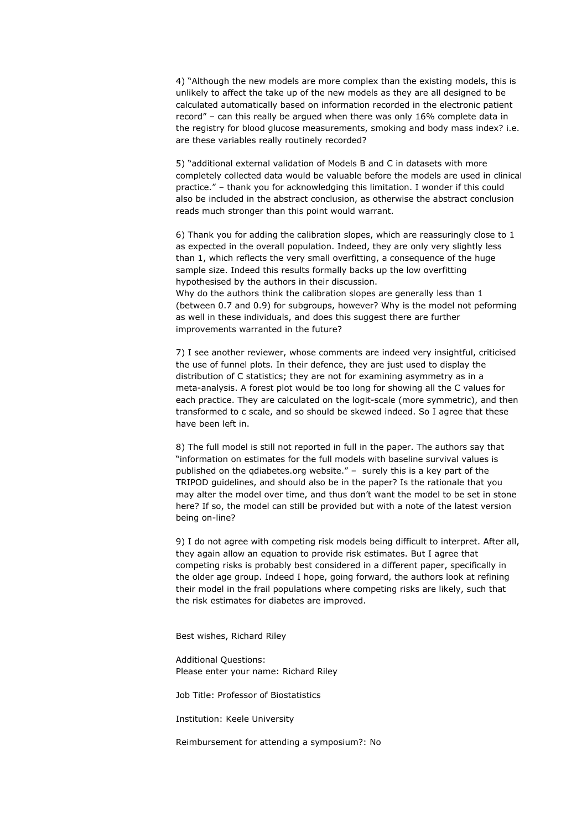4) "Although the new models are more complex than the existing models, this is unlikely to affect the take up of the new models as they are all designed to be calculated automatically based on information recorded in the electronic patient record" – can this really be argued when there was only 16% complete data in the registry for blood glucose measurements, smoking and body mass index? i.e. are these variables really routinely recorded?

5) "additional external validation of Models B and C in datasets with more completely collected data would be valuable before the models are used in clinical practice." – thank you for acknowledging this limitation. I wonder if this could also be included in the abstract conclusion, as otherwise the abstract conclusion reads much stronger than this point would warrant.

6) Thank you for adding the calibration slopes, which are reassuringly close to 1 as expected in the overall population. Indeed, they are only very slightly less than 1, which reflects the very small overfitting, a consequence of the huge sample size. Indeed this results formally backs up the low overfitting hypothesised by the authors in their discussion.

Why do the authors think the calibration slopes are generally less than 1 (between 0.7 and 0.9) for subgroups, however? Why is the model not peforming as well in these individuals, and does this suggest there are further improvements warranted in the future?

7) I see another reviewer, whose comments are indeed very insightful, criticised the use of funnel plots. In their defence, they are just used to display the distribution of C statistics; they are not for examining asymmetry as in a meta-analysis. A forest plot would be too long for showing all the C values for each practice. They are calculated on the logit-scale (more symmetric), and then transformed to c scale, and so should be skewed indeed. So I agree that these have been left in.

8) The full model is still not reported in full in the paper. The authors say that "information on estimates for the full models with baseline survival values is published on the qdiabetes.org website." – surely this is a key part of the TRIPOD guidelines, and should also be in the paper? Is the rationale that you may alter the model over time, and thus don't want the model to be set in stone here? If so, the model can still be provided but with a note of the latest version being on-line?

9) I do not agree with competing risk models being difficult to interpret. After all, they again allow an equation to provide risk estimates. But I agree that competing risks is probably best considered in a different paper, specifically in the older age group. Indeed I hope, going forward, the authors look at refining their model in the frail populations where competing risks are likely, such that the risk estimates for diabetes are improved.

Best wishes, Richard Riley

Additional Questions: Please enter your name: Richard Riley

Job Title: Professor of Biostatistics

Institution: Keele University

Reimbursement for attending a symposium?: No